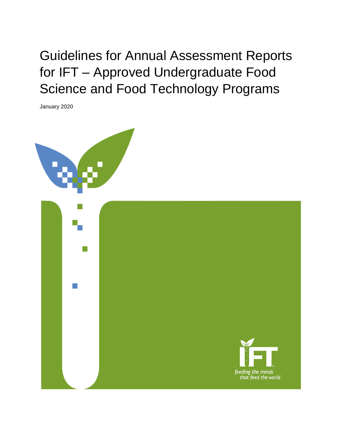Guidelines for Annual Assessment Reports for IFT – Approved Undergraduate Food Science and Food Technology Programs

January 2020



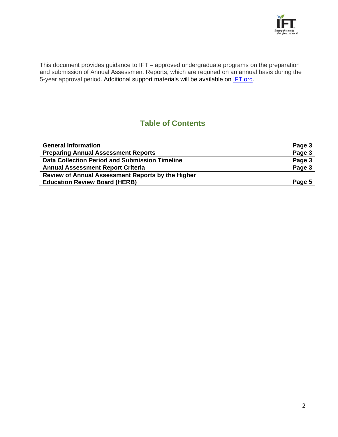

This document provides guidance to IFT – approved undergraduate programs on the preparation and submission of Annual Assessment Reports, which are required on an annual basis during the 5-year approval period. Additional support materials will be available on **IFT.org**.

# **Table of Contents**

| <b>General Information</b>                        | Page 3 |
|---------------------------------------------------|--------|
| <b>Preparing Annual Assessment Reports</b>        | Page 3 |
| Data Collection Period and Submission Timeline    | Page 3 |
| <b>Annual Assessment Report Criteria</b>          | Page 3 |
| Review of Annual Assessment Reports by the Higher |        |
| <b>Education Review Board (HERB)</b>              | Page 5 |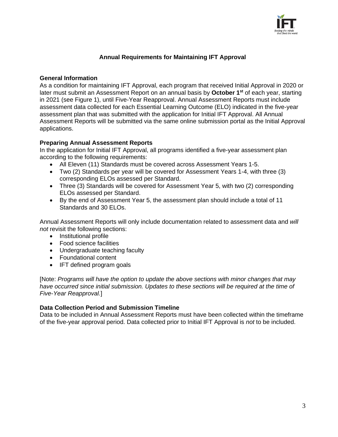

## **Annual Requirements for Maintaining IFT Approval**

### **General Information**

As a condition for maintaining IFT Approval, each program that received Initial Approval in 2020 or later must submit an Assessment Report on an annual basis by **October 1st** of each year, starting in 2021 (see Figure 1), until Five-Year Reapproval. Annual Assessment Reports must include assessment data collected for each Essential Learning Outcome (ELO) indicated in the five-year assessment plan that was submitted with the application for Initial IFT Approval. All Annual Assessment Reports will be submitted via the same online submission portal as the Initial Approval applications.

## **Preparing Annual Assessment Reports**

In the application for Initial IFT Approval, all programs identified a five-year assessment plan according to the following requirements:

- All Eleven (11) Standards must be covered across Assessment Years 1-5.
- Two (2) Standards per year will be covered for Assessment Years 1-4, with three (3) corresponding ELOs assessed per Standard.
- Three (3) Standards will be covered for Assessment Year 5, with two (2) corresponding ELOs assessed per Standard.
- By the end of Assessment Year 5, the assessment plan should include a total of 11 Standards and 30 FLOs.

Annual Assessment Reports will only include documentation related to assessment data and *will not* revisit the following sections:

- Institutional profile
- Food science facilities
- Undergraduate teaching faculty
- Foundational content
- IFT defined program goals

[Note: *Programs will have the option to update the above sections with minor changes that may have occurred since initial submission. Updates to these sections will be required at the time of Five-Year Reapproval.*]

#### **Data Collection Period and Submission Timeline**

Data to be included in Annual Assessment Reports must have been collected within the timeframe of the five-year approval period. Data collected prior to Initial IFT Approval is *not* to be included.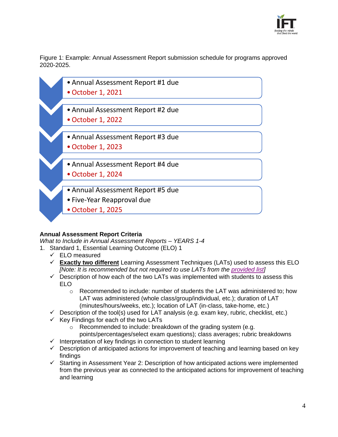

Figure 1: Example: Annual Assessment Report submission schedule for programs approved 2020-2025.



# **Annual Assessment Report Criteria**

*What to Include in Annual Assessment Reports – YEARS 1-4*

- 1. Standard 1, Essential Learning Outcome (ELO) 1
	- $\checkmark$  ELO measured
	- ✓ **Exactly two different** Learning Assessment Techniques (LATs) used to assess this ELO *[Note: It is recommended but not required to use LATs from the [provided list\]](https://www.ift.org/-/media/community/educators-herb/learningassessmenttechniqueslat_ift_herb.pdf?la=en&hash=BE736607E41EBA93A45FFB7013A86E2411906342)*
	- $\checkmark$  Description of how each of the two LATs was implemented with students to assess this ELO
		- o Recommended to include: number of students the LAT was administered to; how LAT was administered (whole class/group/individual, etc.); duration of LAT (minutes/hours/weeks, etc.); location of LAT (in-class, take-home, etc.)
	- $\checkmark$  Description of the tool(s) used for LAT analysis (e.g. exam key, rubric, checklist, etc.)
	- $\checkmark$  Key Findings for each of the two LATs
		- o Recommended to include: breakdown of the grading system (e.g. points/percentages/select exam questions); class averages; rubric breakdowns
	- $\checkmark$  Interpretation of key findings in connection to student learning
	- $\checkmark$  Description of anticipated actions for improvement of teaching and learning based on key findings
	- $\checkmark$  Starting in Assessment Year 2: Description of how anticipated actions were implemented from the previous year as connected to the anticipated actions for improvement of teaching and learning